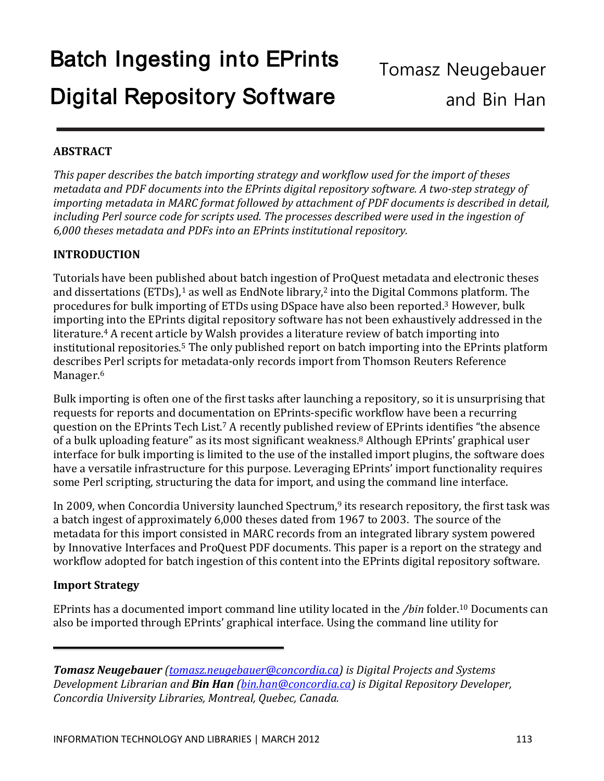## **ABSTRACT**

*This paper describes the batch importing strategy and workflow used for the import of theses metadata and PDF documents into the EPrints digital repository software. A two-step strategy of importing metadata in MARC format followed by attachment of PDF documents is described in detail, including Perl source code for scripts used. The processes described were used in the ingestion of 6,000 theses metadata and PDFs into an EPrints institutional repository.* 

## **INTRODUCTION**

Tutorials have been published about batch ingestion of ProQuest metadata and electronic theses and dissertations (ETDs), $^1$  $^1$  as well as EndNote library, $^2$  into the Digital Commons platform. The procedures for bulk importing of ETDs using DSpace have also been reported. <sup>3</sup> However, bulk importing into the EPrints digital repository software has not been exhaustively addressed in the literature.<sup>4</sup> A recent article by Walsh provides a literature review of batch importing into institutional repositories. <sup>5</sup> The only published report on batch importing into the EPrints platform describes Perl scripts for metadata-only records import from Thomson Reuters Reference Manager. 6

Bulk importing is often one of the first tasks after launching a repository, so it is unsurprising that requests for reports and documentation on EPrints-specific workflow have been a recurring question on the EPrints Tech List. <sup>7</sup> A recently published review of EPrints identifies "the absence of a bulk uploading feature" as its most significant weakness. <sup>8</sup> Although EPrints' graphical user interface for bulk importing is limited to the use of the installed import plugins, the software does have a versatile infrastructure for this purpose. Leveraging EPrints' import functionality requires some Perl scripting, structuring the data for import, and using the command line interface.

In 2009, when Concordia University launched Spectrum, <sup>9</sup> its research repository, the first task was a batch ingest of approximately 6,000 theses dated from 1967 to 2003. The source of the metadata for this import consisted in MARC records from an integrated library system powered by Innovative Interfaces and ProQuest PDF documents. This paper is a report on the strategy and workflow adopted for batch ingestion of this content into the EPrints digital repository software.

## **Import Strategy**

EPrints has a documented import command line utility located in the */bin* folder.10 Documents can also be imported through EPrints' graphical interface. Using the command line utility for

*Tomasz Neugebauer [\(tomasz.neugebauer@concordia.ca\)](mailto:tomasz.neugebauer@concordia.ca) is Digital Projects and Systems Development Librarian and Bin Han [\(bin.han@concordia.ca\)](mailto:bin.han@concordia.ca) is Digital Repository Developer, Concordia University Libraries, Montreal, Quebec, Canada.*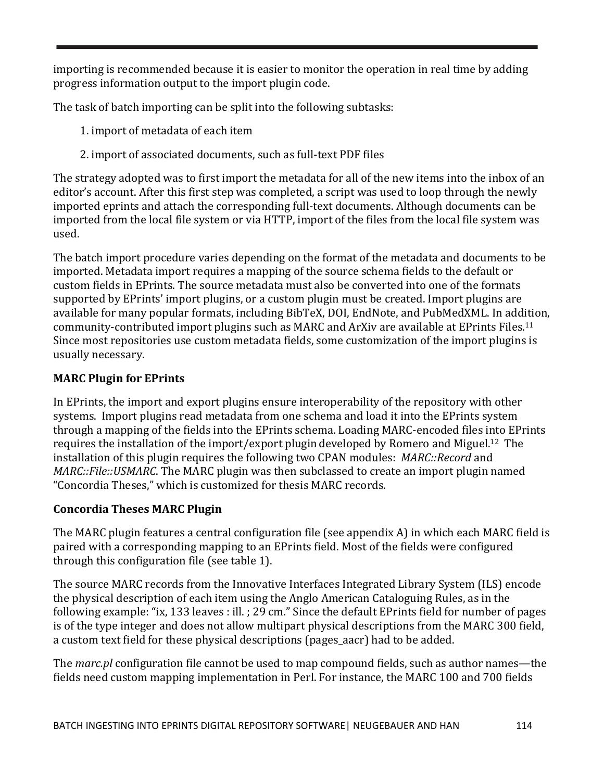importing is recommended because it is easier to monitor the operation in real time by adding progress information output to the import plugin code.

The task of batch importing can be split into the following subtasks:

- 1. import of metadata of each item
- 2. import of associated documents, such as full-text PDF files

The strategy adopted was to first import the metadata for all of the new items into the inbox of an editor's account. After this first step was completed, a script was used to loop through the newly imported eprints and attach the corresponding full-text documents. Although documents can be imported from the local file system or via HTTP, import of the files from the local file system was used.

The batch import procedure varies depending on the format of the metadata and documents to be imported. Metadata import requires a mapping of the source schema fields to the default or custom fields in EPrints. The source metadata must also be converted into one of the formats supported by EPrints' import plugins, or a custom plugin must be created. Import plugins are available for many popular formats, including BibTeX, DOI, EndNote, and PubMedXML. In addition, community-contributed import plugins such as MARC and ArXiv are available at EPrints Files.11 Since most repositories use custom metadata fields, some customization of the import plugins is usually necessary.

# **MARC Plugin for EPrints**

In EPrints, the import and export plugins ensure interoperability of the repository with other systems. Import plugins read metadata from one schema and load it into the EPrints system through a mapping of the fields into the EPrints schema. Loading MARC-encoded files into EPrints requires the installation of the import/export plugin developed by Romero and Miguel.12 The installation of this plugin requires the following two CPAN modules: *MARC::Record* and *MARC::File::USMARC*. The MARC plugin was then subclassed to create an import plugin named "Concordia Theses," which is customized for thesis MARC records.

## **Concordia Theses MARC Plugin**

The MARC plugin features a central configuration file (see appendix A) in which each MARC field is paired with a corresponding mapping to an EPrints field. Most of the fields were configured through this configuration file (see table 1).

The source MARC records from the Innovative Interfaces Integrated Library System (ILS) encode the physical description of each item using the Anglo American Cataloguing Rules, as in the following example: "ix, 133 leaves : ill. ; 29 cm." Since the default EPrints field for number of pages is of the type integer and does not allow multipart physical descriptions from the MARC 300 field, a custom text field for these physical descriptions (pages\_aacr) had to be added.

The *marc.pl* configuration file cannot be used to map compound fields, such as author names—the fields need custom mapping implementation in Perl. For instance, the MARC 100 and 700 fields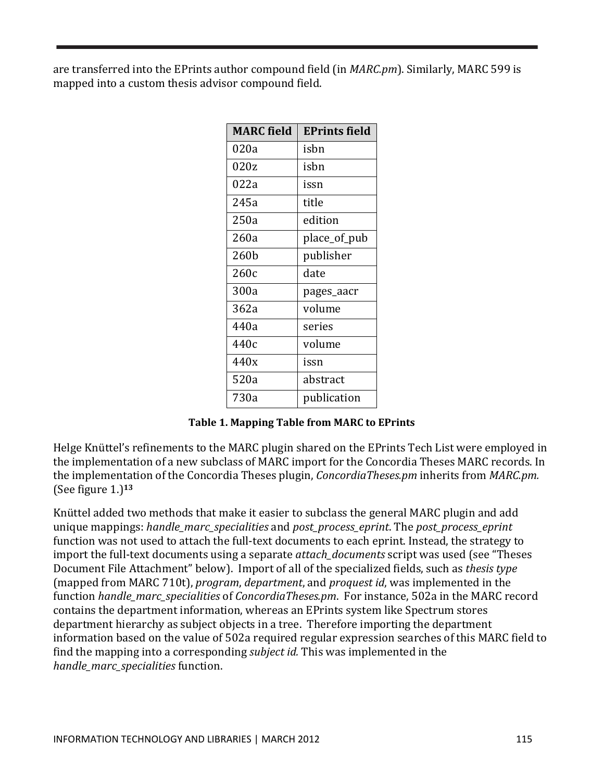are transferred into the EPrints author compound field (in *MARC.pm*). Similarly, MARC 599 is mapped into a custom thesis advisor compound field.

| <b>MARC</b> field | <b>EPrints field</b> |
|-------------------|----------------------|
| 020a              | isbn                 |
| 020z              | isbn                 |
| 022a              | issn                 |
| 245a              | title                |
| 250a              | edition              |
| 260a              | place_of_pub         |
| 260b              | publisher            |
| 260c              | date                 |
| 300a              | pages_aacr           |
| 362a              | volume               |
| 440a              | series               |
| 440c              | volume               |
| 440x              | issn                 |
| 520a              | abstract             |
| 730a              | publication          |

**Table 1. Mapping Table from MARC to EPrints**

Helge Knüttel's refinements to the MARC plugin shared on the EPrints Tech List were employed in the implementation of a new subclass of MARC import for the Concordia Theses MARC records. In the implementation of the Concordia Theses plugin, *ConcordiaTheses.pm* inherits from *MARC.pm.* (See figure 1.)**<sup>13</sup>**

Knüttel added two methods that make it easier to subclass the general MARC plugin and add unique mappings: *handle\_marc\_specialities* and *post\_process\_eprint*. The *post\_process\_eprint*  function was not used to attach the full-text documents to each eprint. Instead, the strategy to import the full-text documents using a separate *attach\_documents* script was used (see "Theses Document File Attachment" below). Import of all of the specialized fields, such as *thesis type* (mapped from MARC 710t), *program*, *department*, and *proquest id*, was implemented in the function *handle\_marc\_specialities* of *ConcordiaTheses.pm*. For instance, 502a in the MARC record contains the department information, whereas an EPrints system like Spectrum stores department hierarchy as subject objects in a tree. Therefore importing the department information based on the value of 502a required regular expression searches of this MARC field to find the mapping into a corresponding *subject id.* This was implemented in the *handle\_marc\_specialities* function.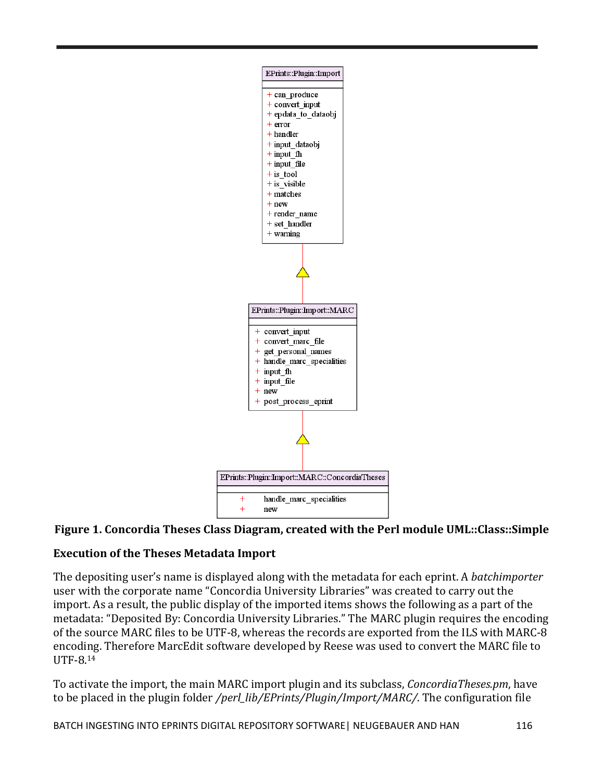

# **Figure 1. Concordia Theses Class Diagram, created with the Perl module UML::Class::Simple**

## **Execution of the Theses Metadata Import**

The depositing user's name is displayed along with the metadata for each eprint. A *batchimporter* user with the corporate name "Concordia University Libraries" was created to carry out the import. As a result, the public display of the imported items shows the following as a part of the metadata: "Deposited By: Concordia University Libraries." The MARC plugin requires the encoding of the source MARC files to be UTF-8, whereas the records are exported from the ILS with MARC-8 encoding. Therefore MarcEdit software developed by Reese was used to convert the MARC file to UTF-8.14

To activate the import, the main MARC import plugin and its subclass, *ConcordiaTheses.pm*, have to be placed in the plugin folder */perl\_lib/EPrints/Plugin/Import/MARC/*. The configuration file

BATCH INGESTING INTO EPRINTS DIGITAL REPOSITORY SOFTWARE | NEUGEBAUER AND HAN 116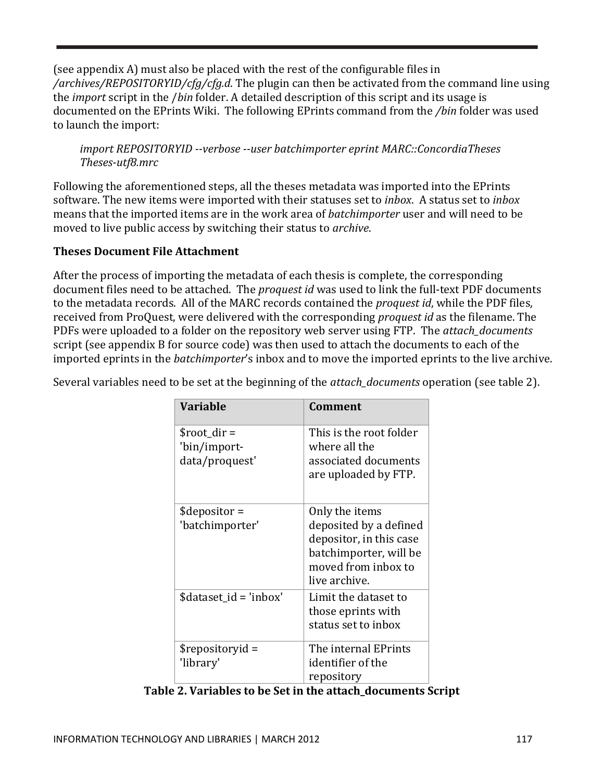(see appendix A) must also be placed with the rest of the configurable files in */archives/REPOSITORYID/cfg/cfg.d*. The plugin can then be activated from the command line using the *import* script in the /*bin* folder. A detailed description of this script and its usage is documented on the EPrints Wiki. The following EPrints command from the */bin* folder was used to launch the import:

*import REPOSITORYID --verbose --user batchimporter eprint MARC::ConcordiaTheses Theses-utf8.mrc*

Following the aforementioned steps, all the theses metadata was imported into the EPrints software. The new items were imported with their statuses set to *inbox*. A status set to *inbox* means that the imported items are in the work area of *batchimporter* user and will need to be moved to live public access by switching their status to *archive*.

## **Theses Document File Attachment**

After the process of importing the metadata of each thesis is complete, the corresponding document files need to be attached. The *proquest id* was used to link the full-text PDF documents to the metadata records. All of the MARC records contained the *proquest id*, while the PDF files, received from ProQuest, were delivered with the corresponding *proquest id* as the filename. The PDFs were uploaded to a folder on the repository web server using FTP. The *attach\_documents* script (see appendix B for source code) was then used to attach the documents to each of the imported eprints in the *batchimporter*'s inbox and to move the imported eprints to the live archive.

| <b>Variable</b>                | <b>Comment</b>                                |
|--------------------------------|-----------------------------------------------|
| \$root dir $=$                 | This is the root folder<br>where all the      |
| 'bin/import-<br>data/proquest' | associated documents                          |
|                                | are uploaded by FTP.                          |
|                                |                                               |
| $\theta$ sdepositor =          | Only the items                                |
| 'batchimporter'                | deposited by a defined                        |
|                                | depositor, in this case                       |
|                                | batchimporter, will be<br>moved from inbox to |
|                                | live archive.                                 |
| \$dataset_id = 'inbox'         | Limit the dataset to                          |
|                                | those eprints with                            |
|                                | status set to inbox                           |
| \$repositoryid =               | The internal EPrints                          |
| 'library'                      | identifier of the                             |
|                                | repository                                    |

Several variables need to be set at the beginning of the *attach\_documents* operation (see table 2).

**Table 2. Variables to be Set in the attach\_documents Script**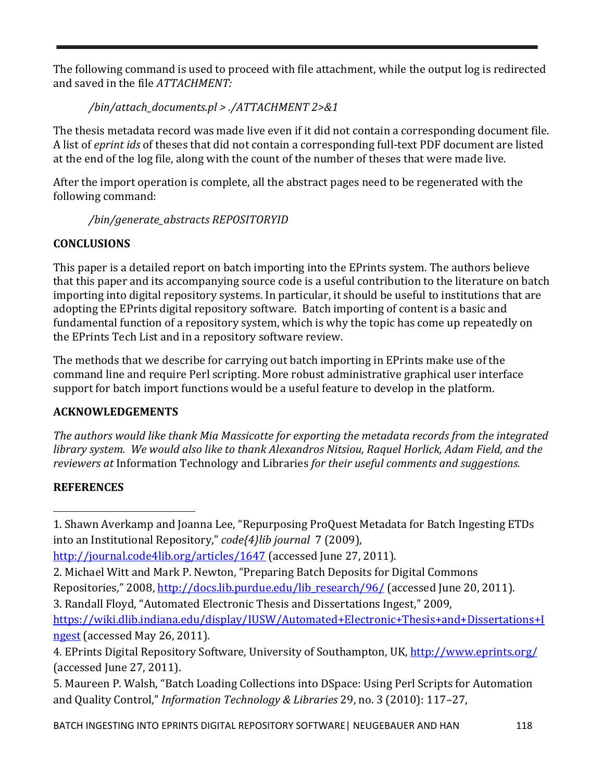The following command is used to proceed with file attachment, while the output log is redirected and saved in the file *ATTACHMENT:*

*/bin/attach\_documents.pl > ./ATTACHMENT 2>&1*

The thesis metadata record was made live even if it did not contain a corresponding document file. A list of *eprint ids* of theses that did not contain a corresponding full-text PDF document are listed at the end of the log file, along with the count of the number of theses that were made live.

After the import operation is complete, all the abstract pages need to be regenerated with the following command:

*/bin/generate\_abstracts REPOSITORYID* 

# **CONCLUSIONS**

This paper is a detailed report on batch importing into the EPrints system. The authors believe that this paper and its accompanying source code is a useful contribution to the literature on batch importing into digital repository systems. In particular, it should be useful to institutions that are adopting the EPrints digital repository software. Batch importing of content is a basic and fundamental function of a repository system, which is why the topic has come up repeatedly on the EPrints Tech List and in a repository software review.

The methods that we describe for carrying out batch importing in EPrints make use of the command line and require Perl scripting. More robust administrative graphical user interface support for batch import functions would be a useful feature to develop in the platform.

# **ACKNOWLEDGEMENTS**

*The authors would like thank Mia Massicotte for exporting the metadata records from the integrated library system. We would also like to thank Alexandros Nitsiou, Raquel Horlick, Adam Field, and the reviewers at* Information Technology and Libraries *for their useful comments and suggestions.*

# **REFERENCES**

<span id="page-5-0"></span> $\overline{\phantom{a}}$ 1. Shawn Averkamp and Joanna Lee, "Repurposing ProQuest Metadata for Batch Ingesting ETDs into an Institutional Repository," *code{4}lib journal* 7 (2009),

```
http://journal.code4lib.org/articles/1647 (accessed June 27, 2011).
```
2. Michael Witt and Mark P. Newton, "Preparing Batch Deposits for Digital Commons Repositories," 2008, [http://docs.lib.purdue.edu/lib\\_research/96/](http://docs.lib.purdue.edu/lib_research/96/) (accessed June 20, 2011).

3. Randall Floyd, "Automated Electronic Thesis and Dissertations Ingest," 2009,

[https://wiki.dlib.indiana.edu/display/IUSW/Automated+Electronic+Thesis+and+Dissertations+I](https://wiki.dlib.indiana.edu/display/IUSW/Automated+Electronic+Thesis+and+Dissertations+Ingest) [ngest](https://wiki.dlib.indiana.edu/display/IUSW/Automated+Electronic+Thesis+and+Dissertations+Ingest) (accessed May 26, 2011).

5. Maureen P. Walsh, "Batch Loading Collections into DSpace: Using Perl Scripts for Automation and Quality Control," *Information Technology & Libraries* 29, no. 3 (2010): 117–27,

<sup>4.</sup> EPrints Digital Repository Software, University of Southampton, UK,<http://www.eprints.org/> (accessed June 27, 2011).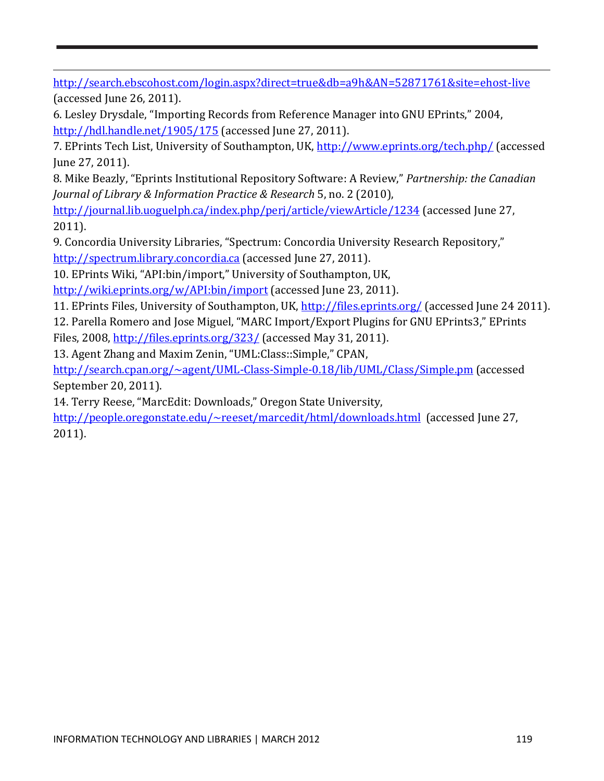$\overline{\phantom{a}}$ <http://search.ebscohost.com/login.aspx?direct=true&db=a9h&AN=52871761&site=ehost-live> (accessed June 26, 2011).

6. Lesley Drysdale, "Importing Records from Reference Manager into GNU EPrints," 2004, <http://hdl.handle.net/1905/175> (accessed June 27, 2011).

7. EPrints Tech List, University of Southampton, UK,<http://www.eprints.org/tech.php/>(accessed June 27, 2011).

8. Mike Beazly, "Eprints Institutional Repository Software: A Review," *Partnership: the Canadian Journal of Library & Information Practice & Research* 5, no. 2 (2010),

<http://journal.lib.uoguelph.ca/index.php/perj/article/viewArticle/1234> (accessed June 27, 2011).

9. Concordia University Libraries, "Spectrum: Concordia University Research Repository," [http://spectrum.library.concordia.ca](http://spectrum.library.concordia.ca/) (accessed June 27, 2011).

10. EPrints Wiki, "API:bin/import," University of Southampton, UK,

<http://wiki.eprints.org/w/API:bin/import> (accessed June 23, 2011).

11. EPrints Files, University of Southampton, UK,<http://files.eprints.org/> (accessed June 24 2011).

12. Parella Romero and Jose Miguel, "MARC Import/Export Plugins for GNU EPrints3," EPrints Files, 2008,<http://files.eprints.org/323/> (accessed May 31, 2011).

13. Agent Zhang and Maxim Zenin, "UML:Class::Simple," CPAN,

<http://search.cpan.org/~agent/UML-Class-Simple-0.18/lib/UML/Class/Simple.pm>(accessed September 20, 2011).

14. Terry Reese, "MarcEdit: Downloads," Oregon State University,

<http://people.oregonstate.edu/~reeset/marcedit/html/downloads.html>(accessed June 27, 2011).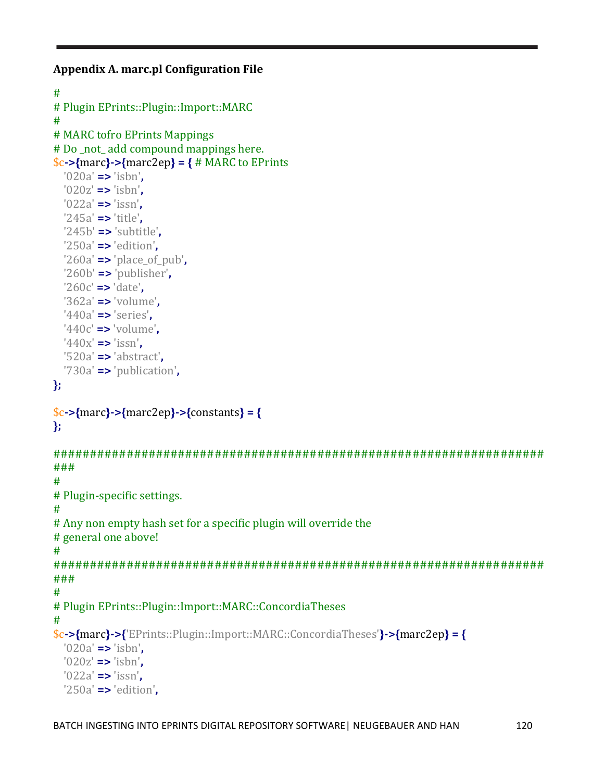```
Appendix A. marc.pl Configuration File
```

```
#
# Plugin EPrints::Plugin::Import::MARC
#
# MARC tofro EPrints Mappings
# Do _not_ add compound mappings here.
$c->{marc}->{marc2ep} = { # MARC to EPrints
   '020a' => 'isbn',
   '020z' => 'isbn',
   '022a' => 'issn',
   '245a' => 'title',
   '245b' => 'subtitle',
   '250a' => 'edition',
   '260a' => 'place_of_pub',
   '260b' => 'publisher',
   '260c' => 'date',
   '362a' => 'volume',
  '440a' => 'series',
   '440c' => 'volume',
  '440x' => 'issn',
   '520a' => 'abstract',
   '730a' => 'publication',
};
$c->{marc}->{marc2ep}->{constants} = {
};
###################################################################
###
#
# Plugin-specific settings.
#
# Any non empty hash set for a specific plugin will override the
# general one above!
#
###################################################################
###
#
# Plugin EPrints::Plugin::Import::MARC::ConcordiaTheses
#
$c->{marc}->{'EPrints::Plugin::Import::MARC::ConcordiaTheses'}->{marc2ep} = {
   '020a' => 'isbn',
   '020z' => 'isbn',
   '022a' => 'issn',
   '250a' => 'edition',
```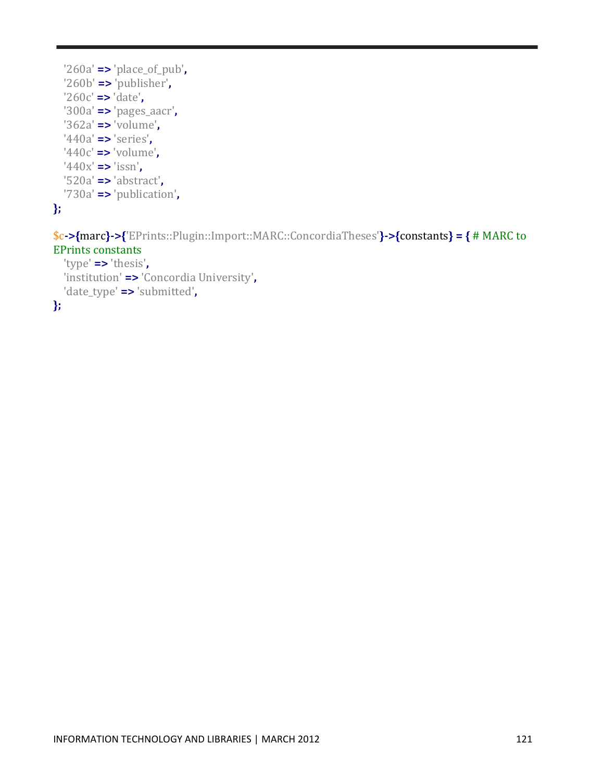

```
$c->{marc}->{'EPrints::Plugin::Import::MARC::ConcordiaTheses'}->{constants} = { # MARC to 
EPrints constants
   'type' => 'thesis',
```

```
 'institution' => 'Concordia University',
   'date_type' => 'submitted',
};
```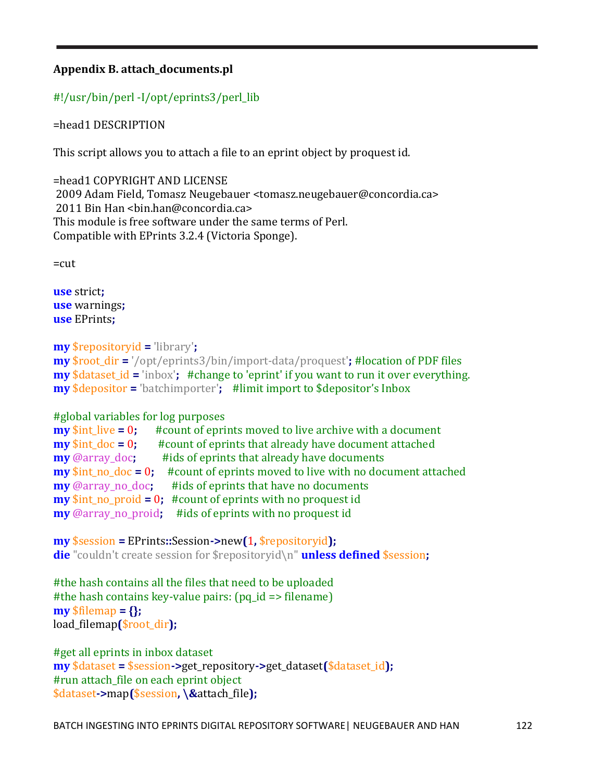## **Appendix B. attach\_documents.pl**

# #!/usr/bin/perl -I/opt/eprints3/perl\_lib

=head1 DESCRIPTION

This script allows you to attach a file to an eprint object by proquest id.

=head1 COPYRIGHT AND LICENSE 2009 Adam Field, Tomasz Neugebauer <tomasz.neugebauer@concordia.ca> 2011 Bin Han <bin.han@concordia.ca> This module is free software under the same terms of Perl. Compatible with EPrints 3.2.4 (Victoria Sponge).

 $=$ cut

**use** strict**; use** warnings**; use** EPrints**;**

```
my $repositoryid = 'library';
```

```
my $root_dir = '/opt/eprints3/bin/import-data/proquest'; #location of PDF files
my $dataset id = 'inbox'; #change to 'eprint' if you want to run it over everything.
my $depositor = 'batchimporter'; #limit import to $depositor's Inbox
```

```
#global variables for log purposes<br>my $int live = 0; #count of epri
my $int_live = 0; #count of eprints moved to live archive with a document my $int_doc = 0; #count of eprints that already have document attached
my $int_doc = 0; #count of eprints that already have document attached my @array doc; #ids of eprints that already have documents
                              #ids of eprints that already have documents
my $int_no_doc = 0; #count of eprints moved to live with no document attached my @array no doc; #ids of eprints that have no documents
                                 #ids of eprints that have no documents
my $int_no_proid = 0; #count of eprints with no proquest id
my @array_no_proid; #ids of eprints with no proquest id
```
**my** \$session **=** EPrints**::**Session**->**new**(**1**,** \$repositoryid**); die** "couldn't create session for \$repositoryid\n" **unless defined** \$session**;**

#the hash contains all the files that need to be uploaded #the hash contains key-value pairs: (pq\_id => filename) **my** \$filemap **= {};** load\_filemap**(**\$root\_dir**);**

```
#get all eprints in inbox dataset
my $dataset = $session->get_repository->get_dataset($dataset_id);
#run attach_file on each eprint object
$dataset->map($session, \&attach_file);
```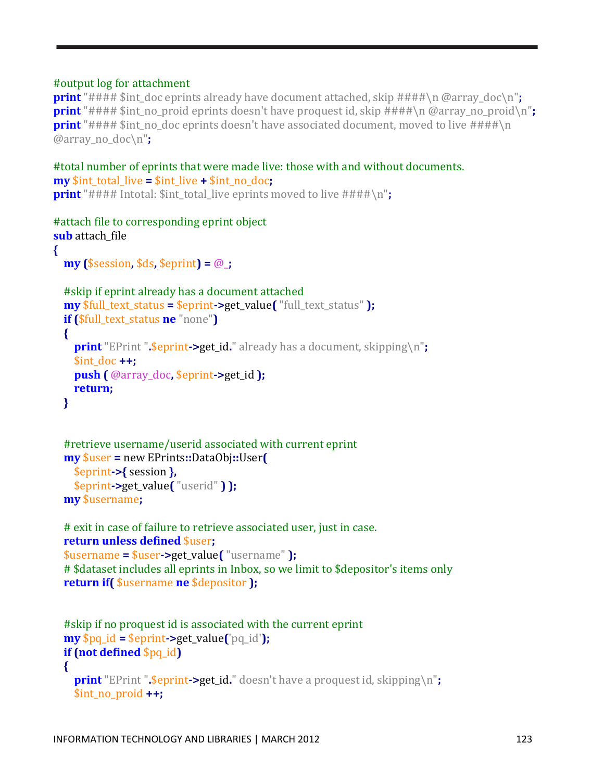#### #output log for attachment

**print** "#### \$int\_doc eprints already have document attached, skip ####\n @array\_doc\n"; **print** "#### \$int no proid eprints doesn't have proquest id, skip ####\n @array no proid\n"; **print** "#### \$int no doc eprints doesn't have associated document, moved to live ####\n @array\_no\_doc\n"**;**

```
#total number of eprints that were made live: those with and without documents.
my $int_total_live = $int_live + $int_no_doc;
print "#### Intotal: $int total live eprints moved to live ####\n";
```

```
#attach file to corresponding eprint object
sub attach file
{
   my ($session, $ds, $eprint) = @_;
   #skip if eprint already has a document attached
  my $full text status = $eprint->get value( "full text status" );
   if ($full_text_status ne "none")
   {
     print "EPrint ".$eprint->get_id." already has a document, skipping\n";
     $int_doc ++;
     push ( @array_doc, $eprint->get_id );
     return;
   }
```

```
 #retrieve username/userid associated with current eprint
 my $user = new EPrints::DataObj::User( 
   $eprint->{ session },
   $eprint->get_value( "userid" ) );
 my $username;
```

```
 # exit in case of failure to retrieve associated user, just in case.
 return unless defined $user; 
 $username = $user->get_value( "username" );
 # $dataset includes all eprints in Inbox, so we limit to $depositor's items only
 return if( $username ne $depositor );
```

```
 #skip if no proquest id is associated with the current eprint
 my $pq_id = $eprint->get_value('pq_id');
 if (not defined $pq_id)
 {
   print "EPrint ".$eprint->get_id." doesn't have a proquest id, skipping\n";
   $int_no_proid ++;
```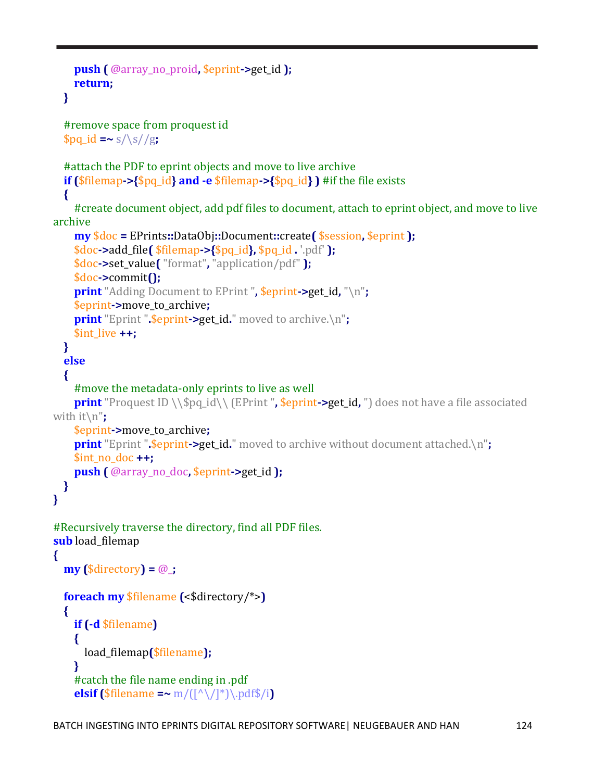```
 push ( @array_no_proid, $eprint->get_id );
     return;
   }
   #remove space from proquest id
  $pq_id = ~s/\surd g;
   #attach the PDF to eprint objects and move to live archive
   if ($filemap->{$pq_id} and -e $filemap->{$pq_id} ) #if the file exists
   {
     #create document object, add pdf files to document, attach to eprint object, and move to live 
archive
     my $doc = EPrints::DataObj::Document::create( $session, $eprint );
     $doc->add_file( $filemap->{$pq_id}, $pq_id . '.pdf' );
     $doc->set_value( "format", "application/pdf" );
     $doc->commit();
     print "Adding Document to EPrint ", $eprint->get_id, "\n";
     $eprint->move_to_archive;
     print "Eprint ".$eprint->get_id." moved to archive.\n";
     $int_live ++;
   }
   else
   {
     #move the metadata-only eprints to live as well
    print "Proquest ID \\$pq_id\\ (EPrint ", $eprint->get_id, ") does not have a file associated
with it\n";
     $eprint->move_to_archive;
    print "Eprint " $eprint > get_id." moved to archive without document attached.\n";
     $int_no_doc ++;
     push ( @array_no_doc, $eprint->get_id );
   }
}
#Recursively traverse the directory, find all PDF files.
sub load filemap
{
   my ($directory) = @_;
   foreach my $filename (<$directory/*>)
   {
     if (-d $filename)
     {
       load_filemap($filename);
     }
     #catch the file name ending in .pdf
    elsif ($filename =~ m/(\lceil^{\wedge}\setminus\lceil^{\ast}\rceil)\cdot pdf\/i)
```